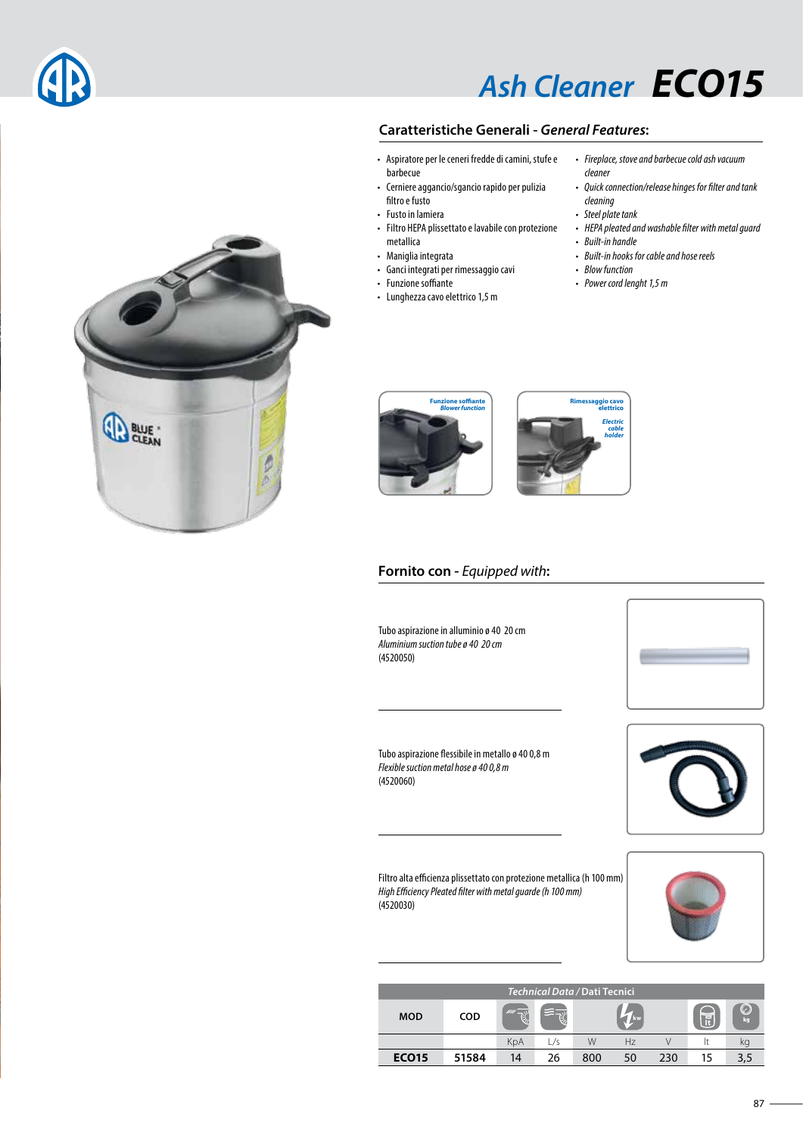# *Ash Cleaner ECO15*

### **Caratteristiche Generali -** *General Features***:**

- Aspiratore per le ceneri fredde di camini, stufe e barbecue
- Cerniere aggancio/sgancio rapido per pulizia filtro e fusto
- Fusto in lamiera
- Filtro HEPA plissettato e lavabile con protezione metallica
- Maniglia integrata
- Ganci integrati per rimessaggio cavi
- Funzione soffiante
- Lunghezza cavo elettrico 1,5 m

#### • *Fireplace, stove and barbecue cold ash vacuum cleaner*

- *Quick connection/release hinges for filter and tank*
- *cleaning* • *Steel plate tank*
- *HEPA pleated and washable filter with metal guard*
- *Built-in handle*
- *Built-in hooks for cable and hose reels*
- *Blow function*
- *Power cord lenght 1,5 m*

*Electric cable holder*





### **Fornito con -** *Equipped with***:**

Tubo aspirazione in alluminio ø 40 20 cm *Aluminium suction tube ø 40 20 cm* (4520050)



Tubo aspirazione flessibile in metallo ø 40 0,8 m *Flexible suction metal hose ø 40 0,8 m* (4520060)

Filtro alta efficienza plissettato con protezione metallica (h 100 mm) *High Efficiency Pleated filter with metal guarde (h 100 mm)* (4520030)



| Technical Data / Dati Tecnici |            |     |     |     |      |     |     |    |  |  |
|-------------------------------|------------|-----|-----|-----|------|-----|-----|----|--|--|
| <b>MOD</b>                    | <b>COD</b> | mi  |     |     | / kw |     | $=$ | kq |  |  |
|                               |            | KpA | ./s | W   | Hz   |     |     | кy |  |  |
| <b>ECO15</b>                  | 51584      | 14  | 26  | 800 | 50   | 230 | 15  |    |  |  |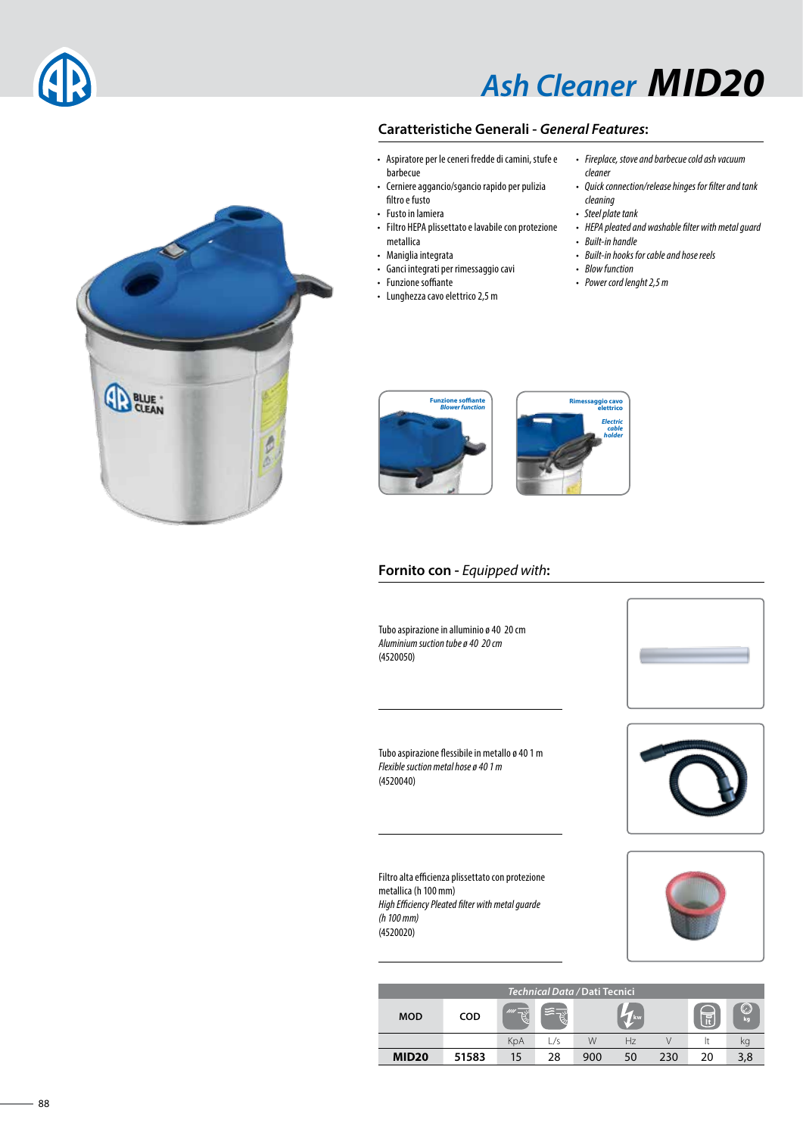

# *Ash Cleaner MID20*

### **Caratteristiche Generali -** *General Features***:**

- Aspiratore per le ceneri fredde di camini, stufe e barbecue
- Cerniere aggancio/sgancio rapido per pulizia filtro e fusto
- Fusto in lamiera
- Filtro HEPA plissettato e lavabile con protezione metallica
- Maniglia integrata
- Ganci integrati per rimessaggio cavi
- Funzione soffiante
- Lunghezza cavo elettrico 2,5 m
- *Fireplace, stove and barbecue cold ash vacuum cleaner*
- *Quick connection/release hinges for filter and tank*
- *cleaning* • *Steel plate tank*
- *HEPA pleated and washable filter with metal guard*
- *Built-in handle*
- *Built-in hooks for cable and hose reels*
- *Blow function*
- *Power cord lenght 2,5 m*





#### **Fornito con -** *Equipped with***:**

Tubo aspirazione in alluminio ø 40 20 cm *Aluminium suction tube ø 40 20 cm* (4520050)



Tubo aspirazione flessibile in metallo ø 40 1 m *Flexible suction metal hose ø 40 1 m* (4520040)

Filtro alta efficienza plissettato con protezione metallica (h 100 mm) *High Efficiency Pleated filter with metal guarde (h 100 mm)* (4520020)



| Technical Data / Dati Tecnici |            |     |     |     |                |     |    |          |  |  |
|-------------------------------|------------|-----|-----|-----|----------------|-----|----|----------|--|--|
| <b>MOD</b>                    | <b>COD</b> | III |     |     | / kw           |     | ≔  | U)<br>kg |  |  |
|                               |            | KpA | L/s | W   | H <sub>7</sub> |     |    | кq       |  |  |
| <b>MID20</b>                  | 51583      | 15  | 28  | 900 | 50             | 230 | 20 |          |  |  |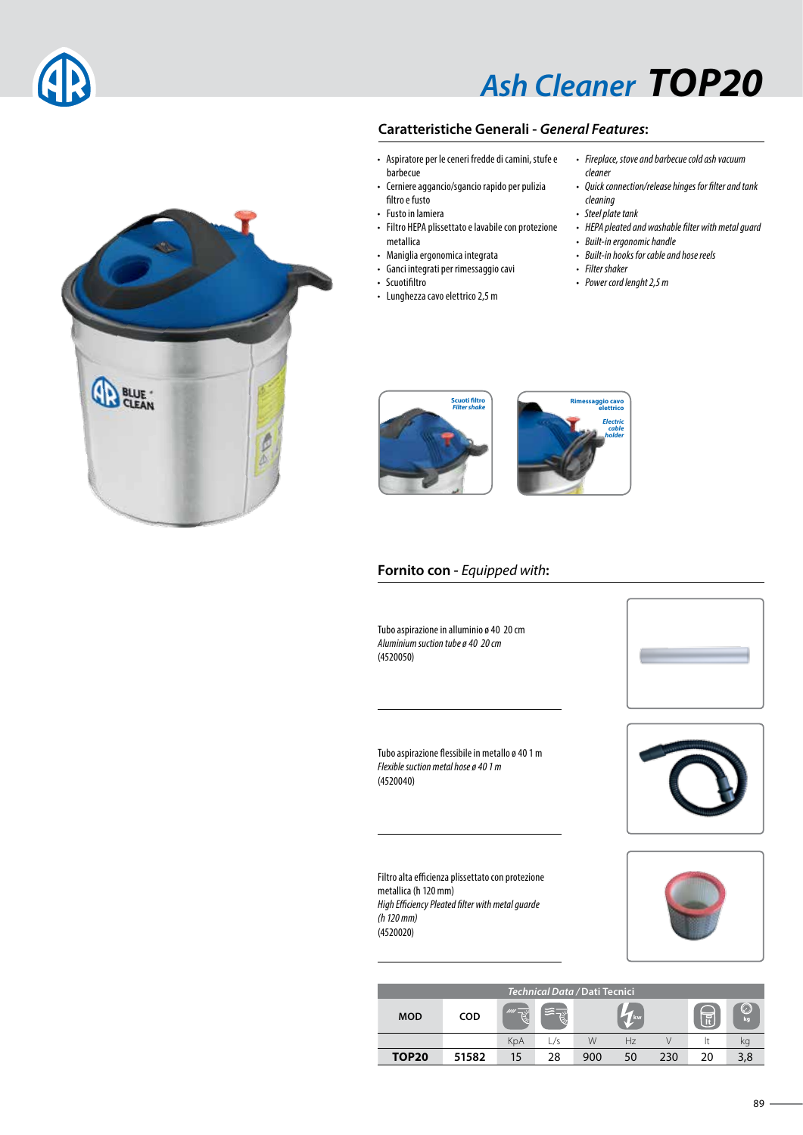

# *Ash Cleaner TOP20*

## **Caratteristiche Generali -** *General Features***:**

- Aspiratore per le ceneri fredde di camini, stufe e barbecue
- Cerniere aggancio/sgancio rapido per pulizia filtro e fusto
- Fusto in lamiera
- Filtro HEPA plissettato e lavabile con protezione metallica
- Maniglia ergonomica integrata
- Ganci integrati per rimessaggio cavi
- Scuotifiltro
- Lunghezza cavo elettrico 2,5 m
- *Fireplace, stove and barbecue cold ash vacuum cleaner*
- *Quick connection/release hinges for filter and tank*
- *cleaning* • *Steel plate tank*
- *HEPA pleated and washable filter with metal guard*
- *Built-in ergonomic handle*

<mark>ggio cav</mark>e<br>Plettrico *Electric cable holder*

- *Built-in hooks for cable and hose reels*
- *Filter shaker*
	- *Power cord lenght 2,5 m*





#### **Fornito con -** *Equipped with***:**

Tubo aspirazione in alluminio ø 40 20 cm *Aluminium suction tube ø 40 20 cm* (4520050)



Tubo aspirazione flessibile in metallo ø 40 1 m *Flexible suction metal hose ø 40 1 m* (4520040)

Filtro alta efficienza plissettato con protezione metallica (h 120 mm) *High Efficiency Pleated filter with metal guarde (h 120 mm)* (4520020)



| Technical Data / Dati Tecnici |            |      |     |     |      |     |    |          |  |  |
|-------------------------------|------------|------|-----|-----|------|-----|----|----------|--|--|
| <b>MOD</b>                    | <b>COD</b> | IIII |     |     | / kw |     | ≂  | U.<br>ka |  |  |
|                               |            | KpA  | _/s | W   | Hz   |     |    | кg       |  |  |
| <b>TOP20</b>                  | 51582      | 15   | 28  | 900 | 50   | 230 | 20 |          |  |  |